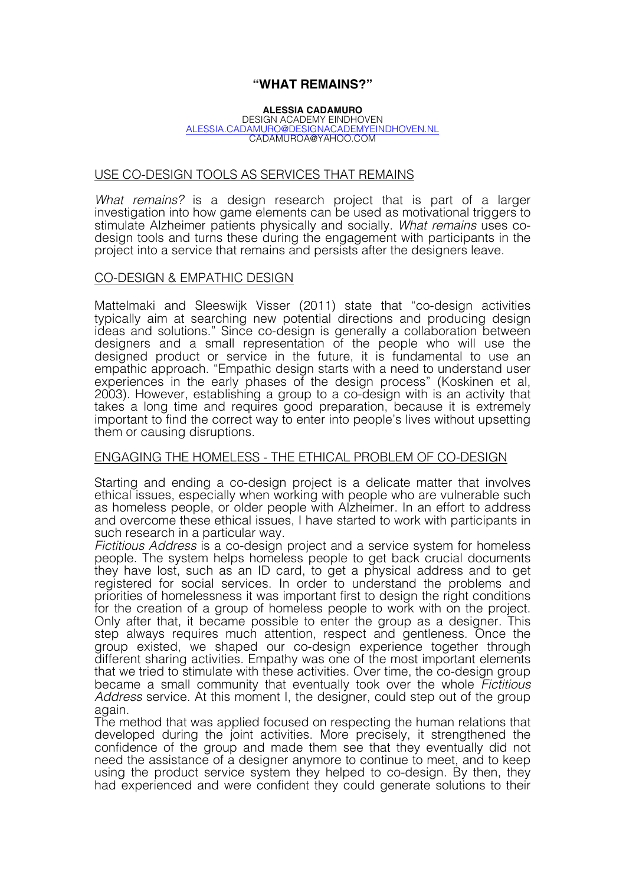# **"WHAT REMAINS?"**

#### **ALESSIA CADAMURO** DESIGN ACADEMY EINDHOVEN ALESSIA.CADAMURO@DESIGNACADEMYEINDHOVEN.NL CADAMUROA@YAHOO.COM

#### USE CO-DESIGN TOOLS AS SERVICES THAT REMAINS

*What remains?* is a design research project that is part of a larger investigation into how game elements can be used as motivational triggers to stimulate Alzheimer patients physically and socially. What remains uses codesign tools and turns these during the engagement with participants in the project into a service that remains and persists after the designers leave.

#### CO-DESIGN & EMPATHIC DESIGN

Mattelmaki and Sleeswijk Visser (2011) state that "co-design activities typically aim at searching new potential directions and producing design ideas and solutions." Since co-design is generally a collaboration between designers and a small representation of the people who will use the designed product or service in the future, it is fundamental to use an empathic approach. "Empathic design starts with a need to understand user experiences in the early phases of the design process" (Koskinen et al, 2003). However, establishing a group to a co-design with is an activity that takes a long time and requires good preparation, because it is extremely important to find the correct way to enter into people's lives without upsetting them or causing disruptions.

# ENGAGING THE HOMELESS - THE ETHICAL PROBLEM OF CO-DESIGN

Starting and ending a co-design project is a delicate matter that involves ethical issues, especially when working with people who are vulnerable such as homeless people, or older people with Alzheimer. In an effort to address and overcome these ethical issues, I have started to work with participants in such research in a particular way.

*Fictitious Address* is a co-design project and a service system for homeless people. The system helps homeless people to get back crucial documents they have lost, such as an ID card, to get a physical address and to get registered for social services. In order to understand the problems and priorities of homelessness it was important first to design the right conditions for the creation of a group of homeless people to work with on the project. Only after that, it became possible to enter the group as a designer. This step always requires much attention, respect and gentleness. Once the group existed, we shaped our co-design experience together through different sharing activities. Empathy was one of the most important elements that we tried to stimulate with these activities. Over time, the co-design group became a small community that eventually took over the whole *Fictitious Address* service. At this moment I, the designer, could step out of the group again.

The method that was applied focused on respecting the human relations that developed during the joint activities. More precisely, it strengthened the confidence of the group and made them see that they eventually did not need the assistance of a designer anymore to continue to meet, and to keep using the product service system they helped to co-design. By then, they had experienced and were confident they could generate solutions to their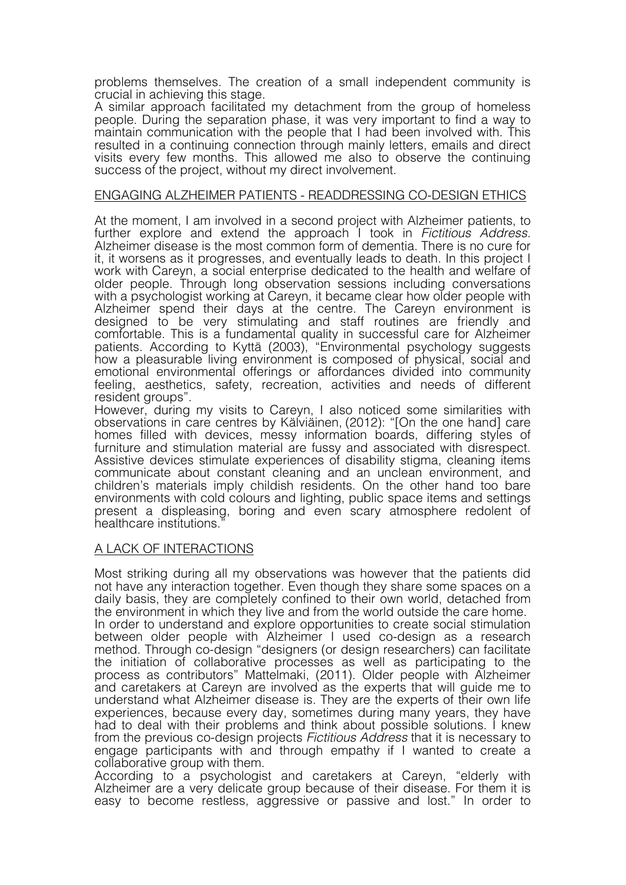problems themselves. The creation of a small independent community is crucial in achieving this stage.

A similar approach facilitated my detachment from the group of homeless people. During the separation phase, it was very important to find a way to maintain communication with the people that I had been involved with. This resulted in a continuing connection through mainly letters, emails and direct visits every few months. This allowed me also to observe the continuing success of the project, without my direct involvement.

#### ENGAGING ALZHEIMER PATIENTS - READDRESSING CO-DESIGN ETHICS

At the moment, I am involved in a second project with Alzheimer patients, to further explore and extend the approach I took in *Fictitious Address.*  Alzheimer disease is the most common form of dementia. There is no cure for it, it worsens as it progresses, and eventually leads to death. In this project I work with Careyn, a social enterprise dedicated to the health and welfare of older people. Through long observation sessions including conversations with a psychologist working at Careyn, it became clear how older people with Alzheimer spend their days at the centre. The Careyn environment is designed to be very stimulating and staff routines are friendly and comfortable. This is a fundamental quality in successful care for Alzheimer patients. According to Kyttä (2003), "Environmental psychology suggests how a pleasurable living environment is composed of physical, social and emotional environmental offerings or affordances divided into community feeling, aesthetics, safety, recreation, activities and needs of different resident groups".

However, during my visits to Careyn, I also noticed some similarities with observations in care centres by Kälviäinen, (2012): "[On the one hand] care homes filled with devices, messy information boards, differing styles of furniture and stimulation material are fussy and associated with disrespect. Assistive devices stimulate experiences of disability stigma, cleaning items communicate about constant cleaning and an unclean environment, and children's materials imply childish residents. On the other hand too bare environments with cold colours and lighting, public space items and settings present a displeasing, boring and even scary atmosphere redolent of healthcare institutions.

# A LACK OF INTERACTIONS

Most striking during all my observations was however that the patients did not have any interaction together. Even though they share some spaces on a daily basis, they are completely confined to their own world, detached from the environment in which they live and from the world outside the care home. In order to understand and explore opportunities to create social stimulation between older people with Alzheimer I used co-design as a research method. Through co-design "designers (or design researchers) can facilitate the initiation of collaborative processes as well as participating to the process as contributors" Mattelmaki, (2011). Older people with Alzheimer and caretakers at Careyn are involved as the experts that will guide me to understand what Alzheimer disease is. They are the experts of their own life experiences, because every day, sometimes during many years, they have had to deal with their problems and think about possible solutions. I knew from the previous co-design projects *Fictitious Address* that it is necessary to engage participants with and through empathy if I wanted to create a collaborative group with them.

According to a psychologist and caretakers at Careyn, "elderly with Alzheimer are a very delicate group because of their disease. For them it is easy to become restless, aggressive or passive and lost." In order to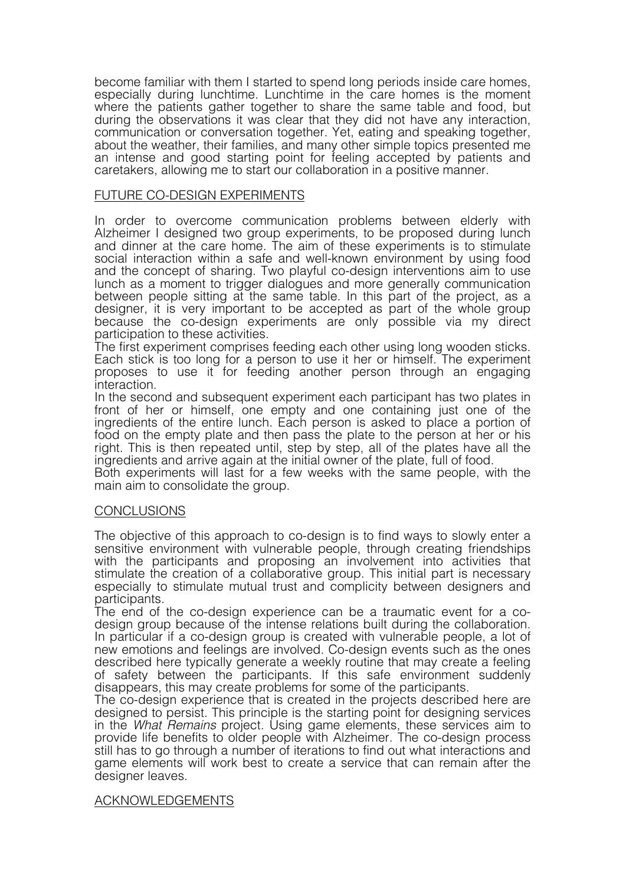become familiar with them I started to spend long periods inside care homes, especially during lunchtime. Lunchtime in the care homes is the moment where the patients gather together to share the same table and food, but during the observations it was clear that they did not have any interaction, communication or conversation together. Yet, eating and speaking together, about the weather, their families, and many other simple topics presented me an intense and good starting point for feeling accepted by patients and caretakers, allowing me to start our collaboration in a positive manner.

# FUTURE CO-DESIGN EXPERIMENTS

In order to overcome communication problems between elderly with Alzheimer I designed two group experiments, to be proposed during lunch and dinner at the care home. The aim of these experiments is to stimulate social interaction within a safe and well-known environment by using food and the concept of sharing. Two playful co-design interventions aim to use lunch as a moment to trigger dialogues and more generally communication between people sitting at the same table. In this part of the project, as a designer, it is very important to be accepted as part of the whole group because the co-design experiments are only possible via my direct participation to these activities.

The first experiment comprises feeding each other using long wooden sticks. Each stick is too long for a person to use it her or himself. The experiment proposes to use it for feeding another person through an engaging interaction.

In the second and subsequent experiment each participant has two plates in front of her or himself, one empty and one containing just one of the ingredients of the entire lunch. Each person is asked to place a portion of food on the empty plate and then pass the plate to the person at her or his right. This is then repeated until, step by step, all of the plates have all the ingredients and arrive again at the initial owner of the plate, full of food.

Both experiments will last for a few weeks with the same people, with the main aim to consolidate the group.

# **CONCLUSIONS**

The objective of this approach to co-design is to find ways to slowly enter a sensitive environment with vulnerable people, through creating friendships with the participants and proposing an involvement into activities that stimulate the creation of a collaborative group. This initial part is necessary especially to stimulate mutual trust and complicity between designers and participants.

The end of the co-design experience can be a traumatic event for a codesign group because of the intense relations built during the collaboration. In particular if a co-design group is created with vulnerable people, a lot of new emotions and feelings are involved. Co-design events such as the ones described here typically generate a weekly routine that may create a feeling of safety between the participants. If this safe environment suddenly disappears, this may create problems for some of the participants.

The co-design experience that is created in the projects described here are designed to persist. This principle is the starting point for designing services in the *What Remains* project. Using game elements, these services aim to provide life benefits to older people with Alzheimer. The co-design process still has to go through a number of iterations to find out what interactions and game elements will work best to create a service that can remain after the designer leaves.

# ACKNOWLEDGEMENTS